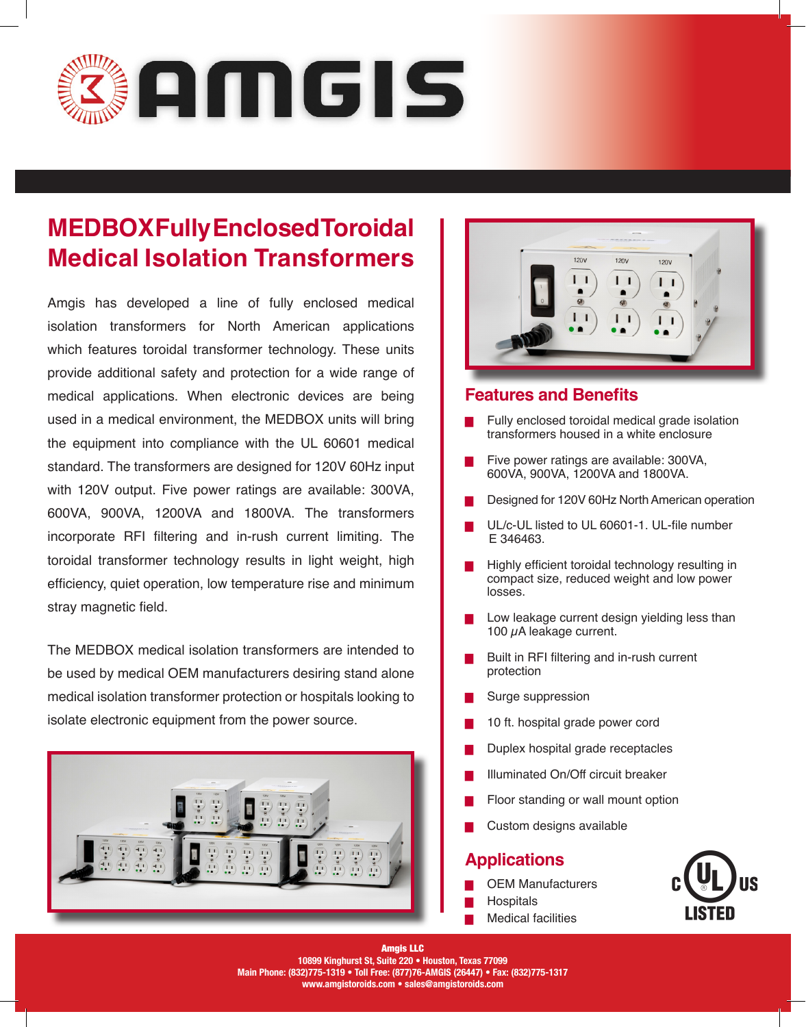

## **MEDBOX Fully Enclosed Toroidal Medical Isolation Transformers**

Amgis has developed a line of fully enclosed medical isolation transformers for North American applications which features toroidal transformer technology. These units provide additional safety and protection for a wide range of medical applications. When electronic devices are being used in a medical environment, the MEDBOX units will bring the equipment into compliance with the UL 60601 medical standard. The transformers are designed for 120V 60Hz input with 120V output. Five power ratings are available: 300VA, 600VA, 900VA, 1200VA and 1800VA. The transformers incorporate RFI filtering and in-rush current limiting. The toroidal transformer technology results in light weight, high efficiency, quiet operation, low temperature rise and minimum stray magnetic field.

The MEDBOX medical isolation transformers are intended to be used by medical OEM manufacturers desiring stand alone medical isolation transformer protection or hospitals looking to isolate electronic equipment from the power source.





#### **Features and Benefits**

- Fully enclosed toroidal medical grade isolation transformers housed in a white enclosure
- Five power ratings are available: 300VA, 600VA, 900VA, 1200VA and 1800VA.
- Designed for 120V 60Hz North American operation
- UL/c-UL listed to UL 60601-1. UL-file number E 346463.
- Highly efficient toroidal technology resulting in compact size, reduced weight and low power losses.
- Low leakage current design yielding less than 100  $\mu$ A leakage current.
- █ Built in RFI filtering and in-rush current protection
- Surge suppression
- 10 ft. hospital grade power cord
- Duplex hospital grade receptacles
- Illuminated On/Off circuit breaker
- Floor standing or wall mount option
- Custom designs available

### **Applications**

- **OEM Manufacturers**
- **Hospitals**
- **Medical facilities**



Amgis LLC **10899 Kinghurst St, Suite 220 • Houston, Texas 77099 Main Phone: (832)775-1319 • Toll Free: (877)76-AMGIS (26447) • Fax: (832)775-1317 www.amgistoroids.com • sales@amgistoroids.com**